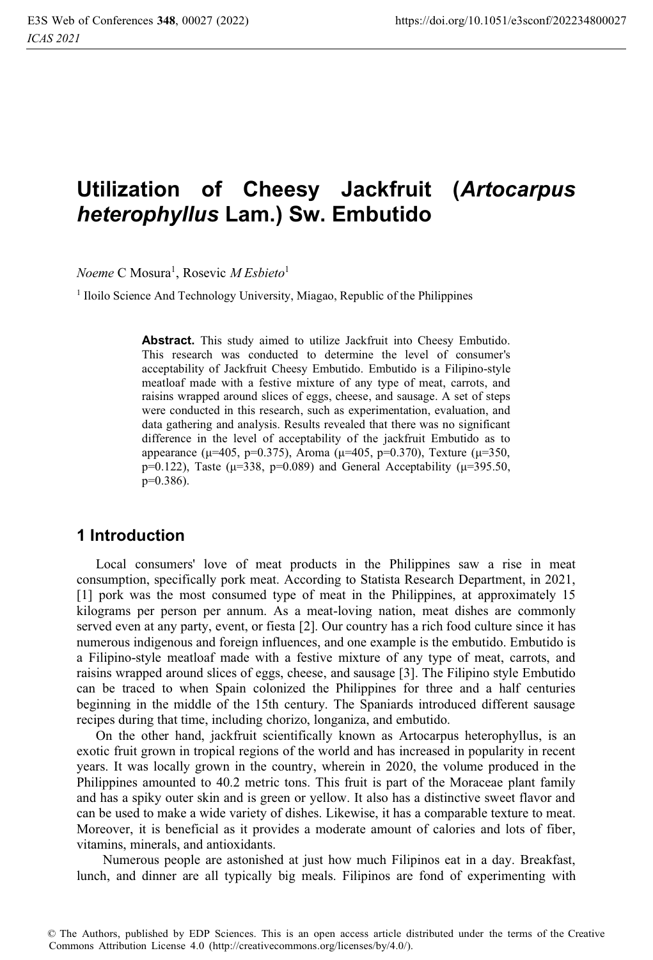# **Utilization of Cheesy Jackfruit (***Artocarpus heterophyllus* **Lam.) Sw. Embutido**

 $N$ oeme C Mosura<sup>1</sup>, Rosevic *M Esbieto*<sup>1</sup>

<sup>1</sup> Iloilo Science And Technology University, Miagao, Republic of the Philippines

**Abstract.** This study aimed to utilize Jackfruit into Cheesy Embutido. This research was conducted to determine the level of consumer's acceptability of Jackfruit Cheesy Embutido. Embutido is a Filipino-style meatloaf made with a festive mixture of any type of meat, carrots, and raisins wrapped around slices of eggs, cheese, and sausage. A set of steps were conducted in this research, such as experimentation, evaluation, and data gathering and analysis. Results revealed that there was no significant difference in the level of acceptability of the jackfruit Embutido as to appearance ( $\mu$ =405, p=0.375), Aroma ( $\mu$ =405, p=0.370), Texture ( $\mu$ =350, p=0.122), Taste ( $\mu$ =338, p=0.089) and General Acceptability ( $\mu$ =395.50, p=0.386).

# **1 Introduction**

Local consumers' love of meat products in the Philippines saw a rise in meat consumption, specifically pork meat. According to Statista Research Department, in 2021, [1] pork was the most consumed type of meat in the Philippines, at approximately 15 kilograms per person per annum. As a meat-loving nation, meat dishes are commonly served even at any party, event, or fiesta [2]. Our country has a rich food culture since it has numerous indigenous and foreign influences, and one example is the embutido. Embutido is a Filipino-style meatloaf made with a festive mixture of any type of meat, carrots, and raisins wrapped around slices of eggs, cheese, and sausage [3]. The Filipino style Embutido can be traced to when Spain colonized the Philippines for three and a half centuries beginning in the middle of the 15th century. The Spaniards introduced different sausage recipes during that time, including chorizo, longaniza, and embutido.

On the other hand, jackfruit scientifically known as Artocarpus heterophyllus, is an exotic fruit grown in tropical regions of the world and has increased in popularity in recent years. It was locally grown in the country, wherein in 2020, the volume produced in the Philippines amounted to 40.2 metric tons. This fruit is part of the Moraceae plant family and has a spiky outer skin and is green or yellow. It also has a distinctive sweet flavor and can be used to make a wide variety of dishes. Likewise, it has a comparable texture to meat. Moreover, it is beneficial as it provides a moderate amount of calories and lots of fiber, vitamins, minerals, and antioxidants.

 Numerous people are astonished at just how much Filipinos eat in a day. Breakfast, lunch, and dinner are all typically big meals. Filipinos are fond of experimenting with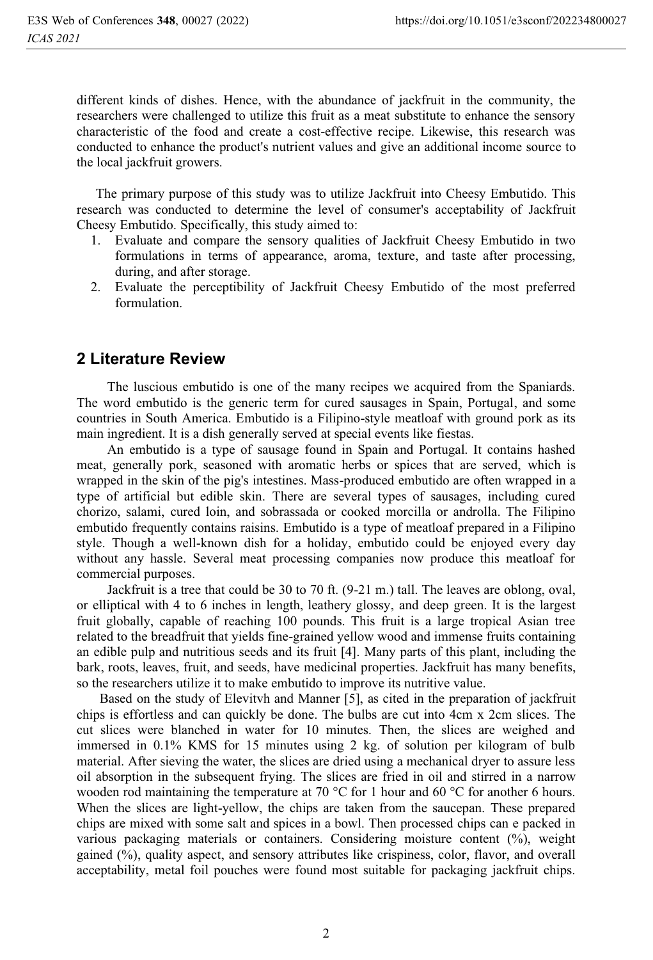different kinds of dishes. Hence, with the abundance of jackfruit in the community, the researchers were challenged to utilize this fruit as a meat substitute to enhance the sensory characteristic of the food and create a cost-effective recipe. Likewise, this research was conducted to enhance the product's nutrient values and give an additional income source to the local jackfruit growers.

The primary purpose of this study was to utilize Jackfruit into Cheesy Embutido. This research was conducted to determine the level of consumer's acceptability of Jackfruit Cheesy Embutido. Specifically, this study aimed to:

- 1. Evaluate and compare the sensory qualities of Jackfruit Cheesy Embutido in two formulations in terms of appearance, aroma, texture, and taste after processing, during, and after storage.
- 2. Evaluate the perceptibility of Jackfruit Cheesy Embutido of the most preferred formulation.

# **2 Literature Review**

The luscious embutido is one of the many recipes we acquired from the Spaniards. The word embutido is the generic term for cured sausages in Spain, Portugal, and some countries in South America. Embutido is a Filipino-style meatloaf with ground pork as its main ingredient. It is a dish generally served at special events like fiestas.

An embutido is a type of sausage found in Spain and Portugal. It contains hashed meat, generally pork, seasoned with aromatic herbs or spices that are served, which is wrapped in the skin of the pig's intestines. Mass-produced embutido are often wrapped in a type of artificial but edible skin. There are several types of sausages, including cured chorizo, salami, cured loin, and sobrassada or cooked morcilla or androlla. The Filipino embutido frequently contains raisins. Embutido is a type of meatloaf prepared in a Filipino style. Though a well-known dish for a holiday, embutido could be enjoyed every day without any hassle. Several meat processing companies now produce this meatloaf for commercial purposes.

Jackfruit is a tree that could be 30 to 70 ft. (9-21 m.) tall. The leaves are oblong, oval, or elliptical with 4 to 6 inches in length, leathery glossy, and deep green. It is the largest fruit globally, capable of reaching 100 pounds. This fruit is a large tropical Asian tree related to the breadfruit that yields fine-grained yellow wood and immense fruits containing an edible pulp and nutritious seeds and its fruit [4]. Many parts of this plant, including the bark, roots, leaves, fruit, and seeds, have medicinal properties. Jackfruit has many benefits, so the researchers utilize it to make embutido to improve its nutritive value.

Based on the study of Elevitvh and Manner [5], as cited in the preparation of jackfruit chips is effortless and can quickly be done. The bulbs are cut into 4cm x 2cm slices. The cut slices were blanched in water for 10 minutes. Then, the slices are weighed and immersed in 0.1% KMS for 15 minutes using 2 kg. of solution per kilogram of bulb material. After sieving the water, the slices are dried using a mechanical dryer to assure less oil absorption in the subsequent frying. The slices are fried in oil and stirred in a narrow wooden rod maintaining the temperature at 70 °C for 1 hour and 60 °C for another 6 hours. When the slices are light-yellow, the chips are taken from the saucepan. These prepared chips are mixed with some salt and spices in a bowl. Then processed chips can e packed in various packaging materials or containers. Considering moisture content (%), weight gained (%), quality aspect, and sensory attributes like crispiness, color, flavor, and overall acceptability, metal foil pouches were found most suitable for packaging jackfruit chips.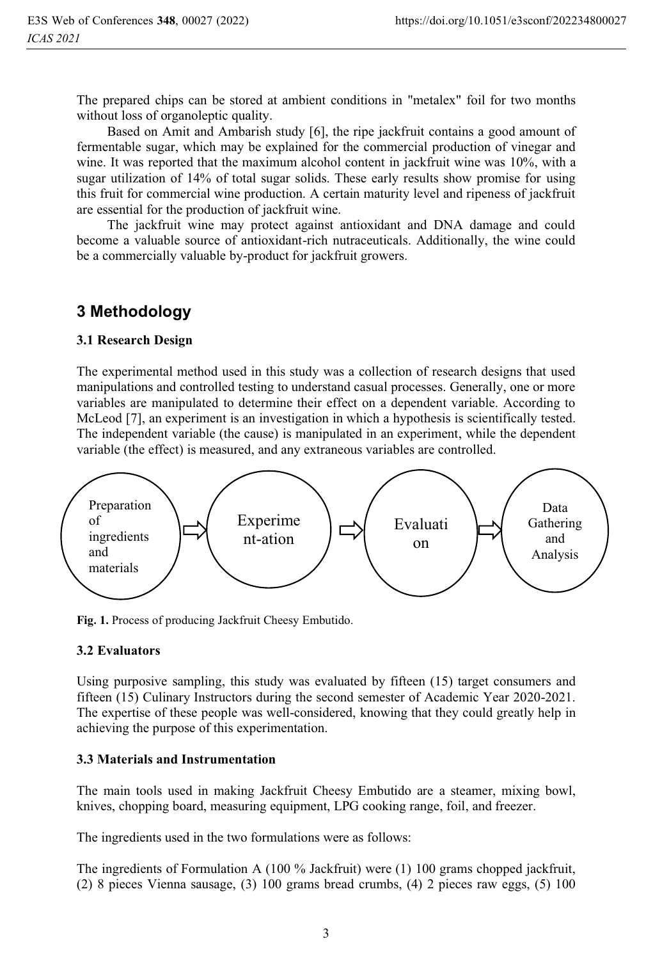The prepared chips can be stored at ambient conditions in "metalex" foil for two months without loss of organoleptic quality.

Based on Amit and Ambarish study [6], the ripe jackfruit contains a good amount of fermentable sugar, which may be explained for the commercial production of vinegar and wine. It was reported that the maximum alcohol content in jackfruit wine was 10%, with a sugar utilization of 14% of total sugar solids. These early results show promise for using this fruit for commercial wine production. A certain maturity level and ripeness of jackfruit are essential for the production of jackfruit wine.

The jackfruit wine may protect against antioxidant and DNA damage and could become a valuable source of antioxidant-rich nutraceuticals. Additionally, the wine could be a commercially valuable by-product for jackfruit growers.

# **3 Methodology**

#### **3.1 Research Design**

The experimental method used in this study was a collection of research designs that used manipulations and controlled testing to understand casual processes. Generally, one or more variables are manipulated to determine their effect on a dependent variable. According to McLeod [7], an experiment is an investigation in which a hypothesis is scientifically tested. The independent variable (the cause) is manipulated in an experiment, while the dependent variable (the effect) is measured, and any extraneous variables are controlled.



**Fig. 1.** Process of producing Jackfruit Cheesy Embutido.

#### **3.2 Evaluators**

Using purposive sampling, this study was evaluated by fifteen (15) target consumers and fifteen (15) Culinary Instructors during the second semester of Academic Year 2020-2021. The expertise of these people was well-considered, knowing that they could greatly help in achieving the purpose of this experimentation.

#### **3.3 Materials and Instrumentation**

The main tools used in making Jackfruit Cheesy Embutido are a steamer, mixing bowl, knives, chopping board, measuring equipment, LPG cooking range, foil, and freezer.

The ingredients used in the two formulations were as follows:

The ingredients of Formulation A (100 % Jackfruit) were (1) 100 grams chopped jackfruit, (2) 8 pieces Vienna sausage, (3) 100 grams bread crumbs, (4) 2 pieces raw eggs, (5) 100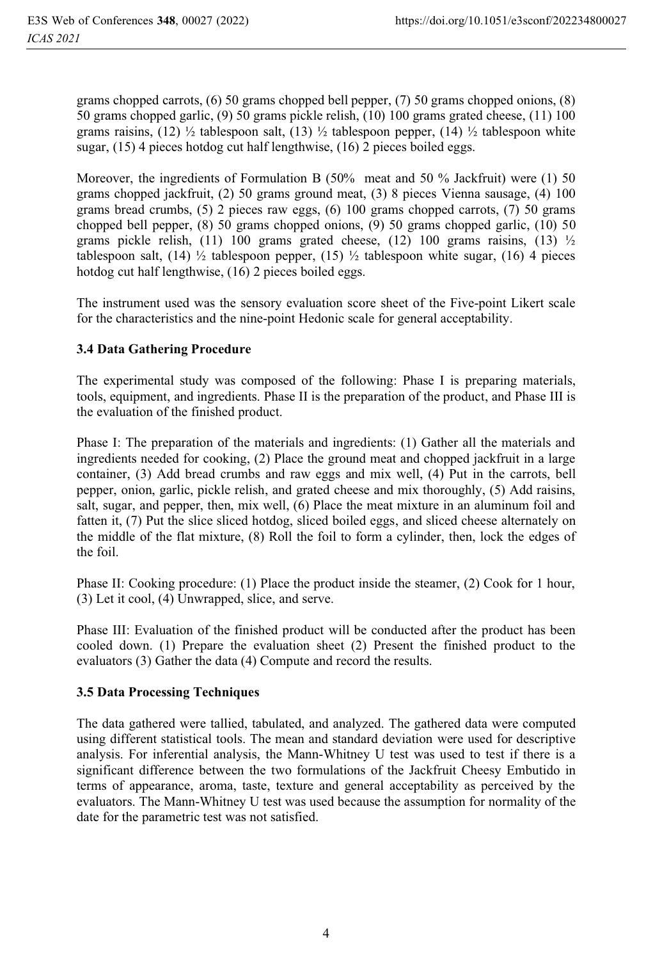grams chopped carrots, (6) 50 grams chopped bell pepper, (7) 50 grams chopped onions, (8) 50 grams chopped garlic, (9) 50 grams pickle relish, (10) 100 grams grated cheese, (11) 100 grams raisins, (12)  $\frac{1}{2}$  tablespoon salt, (13)  $\frac{1}{2}$  tablespoon pepper, (14)  $\frac{1}{2}$  tablespoon white sugar, (15) 4 pieces hotdog cut half lengthwise, (16) 2 pieces boiled eggs.

Moreover, the ingredients of Formulation B (50% meat and 50 % Jackfruit) were (1) 50 grams chopped jackfruit, (2) 50 grams ground meat, (3) 8 pieces Vienna sausage, (4) 100 grams bread crumbs, (5) 2 pieces raw eggs, (6) 100 grams chopped carrots, (7) 50 grams chopped bell pepper, (8) 50 grams chopped onions, (9) 50 grams chopped garlic, (10) 50 grams pickle relish, (11) 100 grams grated cheese, (12) 100 grams raisins, (13)  $\frac{1}{2}$ tablespoon salt, (14)  $\frac{1}{2}$  tablespoon pepper, (15)  $\frac{1}{2}$  tablespoon white sugar, (16) 4 pieces hotdog cut half lengthwise, (16) 2 pieces boiled eggs.

The instrument used was the sensory evaluation score sheet of the Five-point Likert scale for the characteristics and the nine-point Hedonic scale for general acceptability.

### **3.4 Data Gathering Procedure**

The experimental study was composed of the following: Phase I is preparing materials, tools, equipment, and ingredients. Phase II is the preparation of the product, and Phase III is the evaluation of the finished product.

Phase I: The preparation of the materials and ingredients: (1) Gather all the materials and ingredients needed for cooking, (2) Place the ground meat and chopped jackfruit in a large container, (3) Add bread crumbs and raw eggs and mix well, (4) Put in the carrots, bell pepper, onion, garlic, pickle relish, and grated cheese and mix thoroughly, (5) Add raisins, salt, sugar, and pepper, then, mix well, (6) Place the meat mixture in an aluminum foil and fatten it, (7) Put the slice sliced hotdog, sliced boiled eggs, and sliced cheese alternately on the middle of the flat mixture, (8) Roll the foil to form a cylinder, then, lock the edges of the foil.

Phase II: Cooking procedure: (1) Place the product inside the steamer, (2) Cook for 1 hour, (3) Let it cool, (4) Unwrapped, slice, and serve.

Phase III: Evaluation of the finished product will be conducted after the product has been cooled down. (1) Prepare the evaluation sheet (2) Present the finished product to the evaluators (3) Gather the data (4) Compute and record the results.

### **3.5 Data Processing Techniques**

The data gathered were tallied, tabulated, and analyzed. The gathered data were computed using different statistical tools. The mean and standard deviation were used for descriptive analysis. For inferential analysis, the Mann-Whitney U test was used to test if there is a significant difference between the two formulations of the Jackfruit Cheesy Embutido in terms of appearance, aroma, taste, texture and general acceptability as perceived by the evaluators. The Mann-Whitney U test was used because the assumption for normality of the date for the parametric test was not satisfied.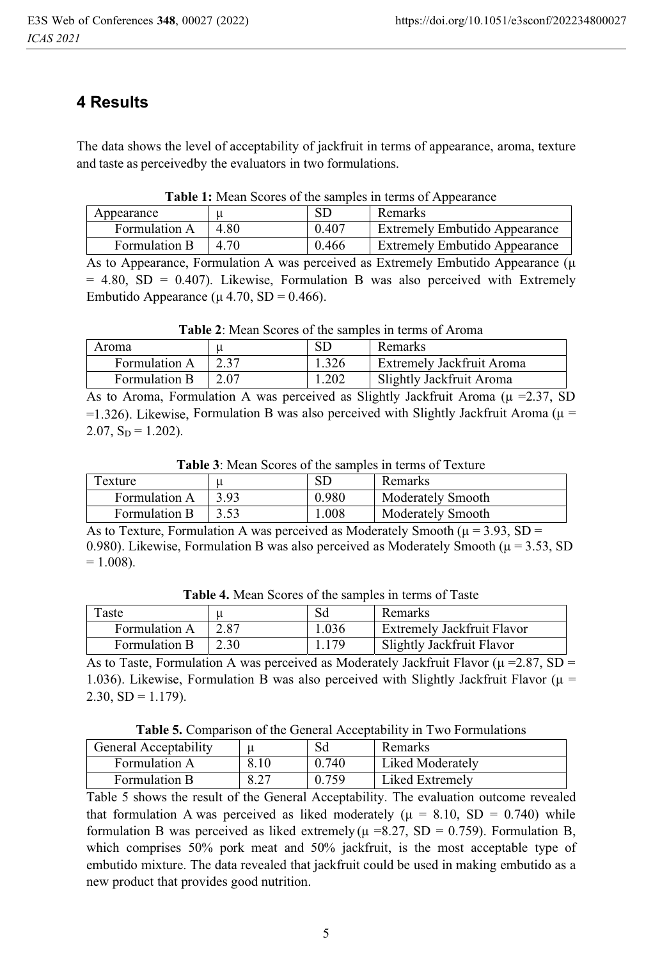# **4 Results**

The data shows the level of acceptability of jackfruit in terms of appearance, aroma, texture and taste as perceived by the evaluators in two formulations.

| Appearance    |      | SD    | <b>Remarks</b>                       |
|---------------|------|-------|--------------------------------------|
| Formulation A | 4.80 | 0.407 | <b>Extremely Embutido Appearance</b> |
| Formulation B | 4.70 | 0.466 | <b>Extremely Embutido Appearance</b> |

As to Appearance, Formulation A was perceived as Extremely Embutido Appearance (μ  $= 4.80$ , SD  $= 0.407$ ). Likewise, Formulation B was also perceived with Extremely Embutido Appearance (μ 4.70, SD = 0.466).

| Aroma         |      | SD    | Remarks                   |  |
|---------------|------|-------|---------------------------|--|
| Formulation A | 2.37 | 1.326 | Extremely Jackfruit Aroma |  |
| Formulation B | 2.07 | 1.202 | Slightly Jackfruit Aroma  |  |

As to Aroma, Formulation A was perceived as Slightly Jackfruit Aroma ( $\mu$  =2.37, SD =1.326). Likewise, Formulation B was also perceived with Slightly Jackfruit Aroma ( $\mu$  =  $2.07, S_D = 1.202$ ).

**Table 3**: Mean Scores of the samples in terms of Texture

| Texture       |      | SD    | Remarks                  |  |
|---------------|------|-------|--------------------------|--|
| Formulation A | 3.93 | 0.980 | <b>Moderately Smooth</b> |  |
| Formulation B | 3.53 | .008  | <b>Moderately Smooth</b> |  |

As to Texture, Formulation A was perceived as Moderately Smooth ( $\mu$  = 3.93, SD = 0.980). Likewise, Formulation B was also perceived as Moderately Smooth ( $\mu$  = 3.53, SD  $= 1.008$ ).

| Taste         |      | Sd    | Remarks                           |
|---------------|------|-------|-----------------------------------|
| Formulation A | 2.87 | 1.036 | <b>Extremely Jackfruit Flavor</b> |
| Formulation B | 2.30 | 1.179 | Slightly Jackfruit Flavor         |

**Table 4.** Mean Scores of the samples in terms of Taste

As to Taste, Formulation A was perceived as Moderately Jackfruit Flavor ( $\mu = 2.87$ , SD = 1.036). Likewise, Formulation B was also perceived with Slightly Jackfruit Flavor ( $\mu$  =  $2.30, SD = 1.179$ ).

**Table 5.** Comparison of the General Acceptability in Two Formulations

| <b>General Acceptability</b> |      | Sd    | Remarks          |
|------------------------------|------|-------|------------------|
| Formulation A                | 8.10 | 0.740 | Liked Moderately |
| Formulation B                | 8.27 | 0.759 | Liked Extremely  |

Table 5 shows the result of the General Acceptability. The evaluation outcome revealed that formulation A was perceived as liked moderately ( $\mu = 8.10$ , SD = 0.740) while formulation B was perceived as liked extremely ( $\mu$  =8.27, SD = 0.759). Formulation B, which comprises 50% pork meat and 50% jackfruit, is the most acceptable type of embutido mixture. The data revealed that jackfruit could be used in making embutido as a new product that provides good nutrition.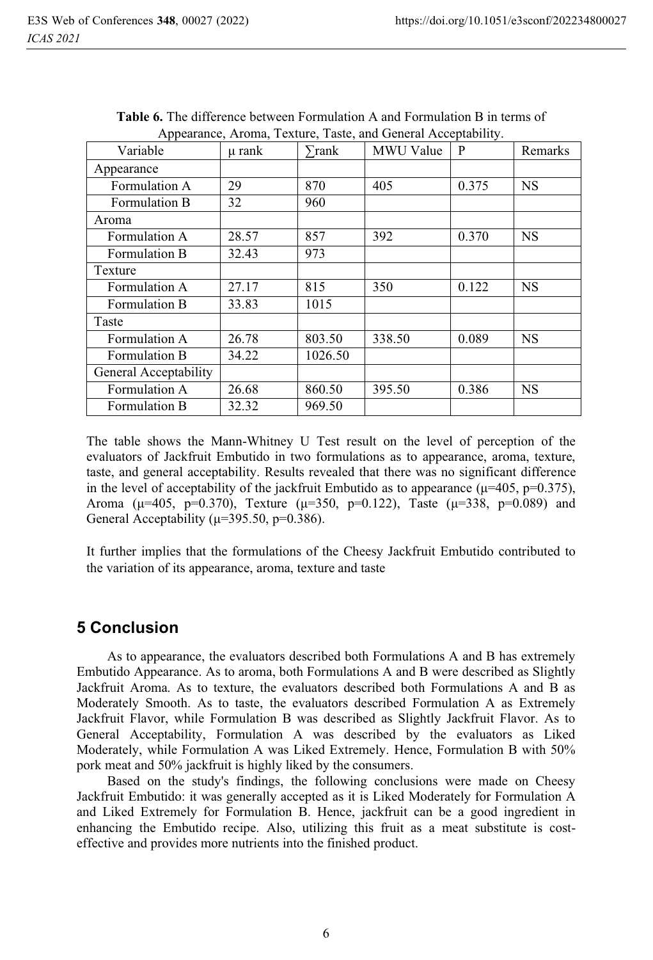| Variable              | µ rank | $\sum$ rank | Appearance, Aroma, Texture, Taste, and General Acceptability.<br>MWU Value | P     | Remarks   |
|-----------------------|--------|-------------|----------------------------------------------------------------------------|-------|-----------|
| Appearance            |        |             |                                                                            |       |           |
| Formulation A         | 29     | 870         | 405                                                                        | 0.375 | <b>NS</b> |
| Formulation B         | 32     | 960         |                                                                            |       |           |
| Aroma                 |        |             |                                                                            |       |           |
| Formulation A         | 28.57  | 857         | 392                                                                        | 0.370 | <b>NS</b> |
| Formulation B         | 32.43  | 973         |                                                                            |       |           |
| Texture               |        |             |                                                                            |       |           |
| Formulation A         | 27.17  | 815         | 350                                                                        | 0.122 | <b>NS</b> |
| Formulation B         | 33.83  | 1015        |                                                                            |       |           |
| Taste                 |        |             |                                                                            |       |           |
| Formulation A         | 26.78  | 803.50      | 338.50                                                                     | 0.089 | <b>NS</b> |
| Formulation B         | 34.22  | 1026.50     |                                                                            |       |           |
| General Acceptability |        |             |                                                                            |       |           |
| Formulation A         | 26.68  | 860.50      | 395.50                                                                     | 0.386 | <b>NS</b> |
| Formulation B         | 32.32  | 969.50      |                                                                            |       |           |

**Table 6.** The difference between Formulation A and Formulation B in terms of  $A \cap A$  and  $A \cap A$ 

The table shows the Mann-Whitney U Test result on the level of perception of the evaluators of Jackfruit Embutido in two formulations as to appearance, aroma, texture, taste, and general acceptability. Results revealed that there was no significant difference in the level of acceptability of the jackfruit Embutido as to appearance ( $\mu$ =405, p=0.375), Aroma ( $\mu$ =405, p=0.370), Texture ( $\mu$ =350, p=0.122), Taste ( $\mu$ =338, p=0.089) and General Acceptability ( $\mu$ =395.50, p=0.386).

It further implies that the formulations of the Cheesy Jackfruit Embutido contributed to the variation of its appearance, aroma, texture and taste

# **5 Conclusion**

As to appearance, the evaluators described both Formulations A and B has extremely Embutido Appearance. As to aroma, both Formulations A and B were described as Slightly Jackfruit Aroma. As to texture, the evaluators described both Formulations A and B as Moderately Smooth. As to taste, the evaluators described Formulation A as Extremely Jackfruit Flavor, while Formulation B was described as Slightly Jackfruit Flavor. As to General Acceptability, Formulation A was described by the evaluators as Liked Moderately, while Formulation A was Liked Extremely. Hence, Formulation B with 50% pork meat and 50% jackfruit is highly liked by the consumers.

Based on the study's findings, the following conclusions were made on Cheesy Jackfruit Embutido: it was generally accepted as it is Liked Moderately for Formulation A and Liked Extremely for Formulation B. Hence, jackfruit can be a good ingredient in enhancing the Embutido recipe. Also, utilizing this fruit as a meat substitute is costeffective and provides more nutrients into the finished product.